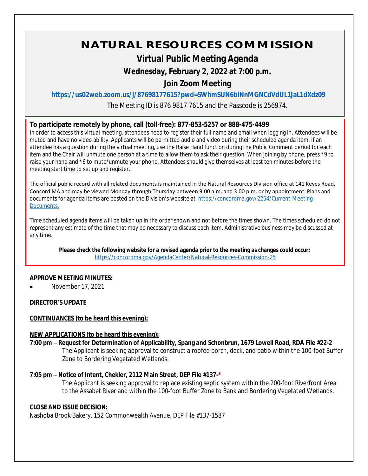# **NATURAL RESOURCES COMMISSION**

## **Virtual Public Meeting Agenda**

## **Wednesday, February 2, 2022 at 7:00 p.m.**

## **Join Zoom Meeting**

**<https://us02web.zoom.us/j/87698177615?pwd=SWhmSUN6blNnMGNCdVdUL1JaL1dXdz09>**

The Meeting ID is 876 9817 7615 and the Passcode is 256974.

#### **To participate remotely by phone, call (toll-free): 877-853-5257 or 888-475-4499**

In order to access this virtual meeting, attendees need to register their full name and email when logging in. Attendees will be muted and have no video ability. Applicants will be permitted audio and video during their scheduled agenda item. If an attendee has a question during the virtual meeting, use the Raise Hand function during the Public Comment period for each item and the Chair will unmute one person at a time to allow them to ask their question. When joining by phone, press \*9 to raise your hand and \*6 to mute/unmute your phone. Attendees should give themselves at least ten minutes before the meeting start time to set up and register.

The official public record with all related documents is maintained in the Natural Resources Division office at 141 Keyes Road, Concord MA and may be viewed Monday through Thursday between 9:00 a.m. and 3:00 p.m. or by appointment. Plans and documents for agenda items are posted on the Division's website at [https://concordma.gov/2254/Current-Meeting-](https://concordma.gov/2254/Current-Meeting-Documents)Documents.

Time scheduled agenda items will be taken up in the order shown and not before the times shown. The times scheduled do not represent any estimate of the time that may be necessary to discuss each item. Administrative business may be discussed at any time.

**Please check the following website for a revised agenda prior to the meeting as changes could occur:**  <https://concordma.gov/AgendaCenter/Natural-Resources-Commission-25>

#### **APPROVE MEETING MINUTES:**

November 17, 2021

#### **DIRECTOR'S UPDATE**

#### **CONTINUANCES (to be heard this evening):**

#### **NEW APPLICATIONS (to be heard this evening):**

**7:00 pm – Request for Determination of Applicability, Spang and Schonbrun, 1679 Lowell Road, RDA File #22-2** The Applicant is seeking approval to construct a roofed porch, deck, and patio within the 100-foot Buffer Zone to Bordering Vegetated Wetlands.

#### **7:05 pm – Notice of Intent, Chekler, 2112 Main Street, DEP File #137-\***

The Applicant is seeking approval to replace existing septic system within the 200-foot Riverfront Area to the Assabet River and within the 100-foot Buffer Zone to Bank and Bordering Vegetated Wetlands.

#### **CLOSE AND ISSUE DECISION:**

Nashoba Brook Bakery, 152 Commonwealth Avenue, DEP File #137-1587